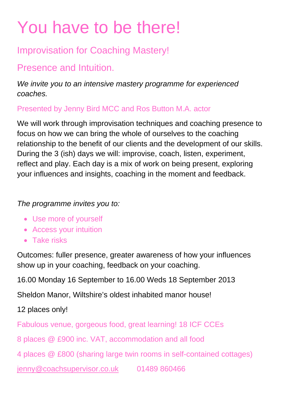# You have to be there!

## Improvisation for Coaching Mastery!

## Presence and Intuition.

*We invite you to an intensive mastery programme for experienced coaches.* 

Presented by Jenny Bird MCC and Ros Button M.A. actor

We will work through improvisation techniques and coaching presence to focus on how we can bring the whole of ourselves to the coaching relationship to the benefit of our clients and the development of our skills. During the 3 (ish) days we will: improvise, coach, listen, experiment, reflect and play. Each day is a mix of work on being present, exploring your influences and insights, coaching in the moment and feedback.

### *The programme invites you to:*

- Use more of yourself
- Access your intuition
- Take risks

Outcomes: fuller presence, greater awareness of how your influences show up in your coaching, feedback on your coaching.

16.00 Monday 16 September to 16.00 Weds 18 September 2013

Sheldon Manor, Wiltshire's oldest inhabited manor house!

12 places only!

Fabulous venue, gorgeous food, great learning! 18 ICF CCEs

8 places @ £900 inc. VAT, accommodation and all food

4 places @ £800 (sharing large twin rooms in self-contained cottages)

jenny@coachsupervisor.co.uk 01489 860466